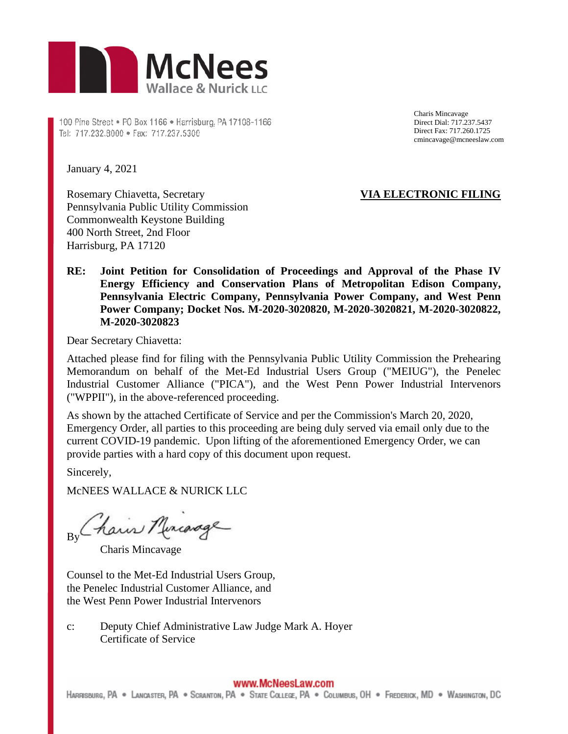

100 Pine Street . P0 Box 1166 . Harrisburg, PA 17108-1166 Tel: 717.232.8000 · Fax: 717.237.5300

Charis Mincavage Direct Dial: 717.237.5437 Direct Fax: 717.260.1725 cmincavage@mcneeslaw.com

January 4, 2021

Rosemary Chiavetta, Secretary Pennsylvania Public Utility Commission Commonwealth Keystone Building 400 North Street, 2nd Floor Harrisburg, PA 17120

# **VIA ELECTRONIC FILING**

**RE: Joint Petition for Consolidation of Proceedings and Approval of the Phase IV Energy Efficiency and Conservation Plans of Metropolitan Edison Company, Pennsylvania Electric Company, Pennsylvania Power Company, and West Penn Power Company; Docket Nos. M-2020-3020820, M-2020-3020821, M-2020-3020822, M-2020-3020823** 

Dear Secretary Chiavetta:

Attached please find for filing with the Pennsylvania Public Utility Commission the Prehearing Memorandum on behalf of the Met-Ed Industrial Users Group ("MEIUG"), the Penelec Industrial Customer Alliance ("PICA"), and the West Penn Power Industrial Intervenors ("WPPII"), in the above-referenced proceeding.

As shown by the attached Certificate of Service and per the Commission's March 20, 2020, Emergency Order, all parties to this proceeding are being duly served via email only due to the current COVID-19 pandemic. Upon lifting of the aforementioned Emergency Order, we can provide parties with a hard copy of this document upon request.

Sincerely,

McNEES WALLACE & NURICK LLC

By Chain Murcarage

Charis Mincavage

Counsel to the Met-Ed Industrial Users Group, the Penelec Industrial Customer Alliance, and the West Penn Power Industrial Intervenors

c: Deputy Chief Administrative Law Judge Mark A. Hoyer Certificate of Service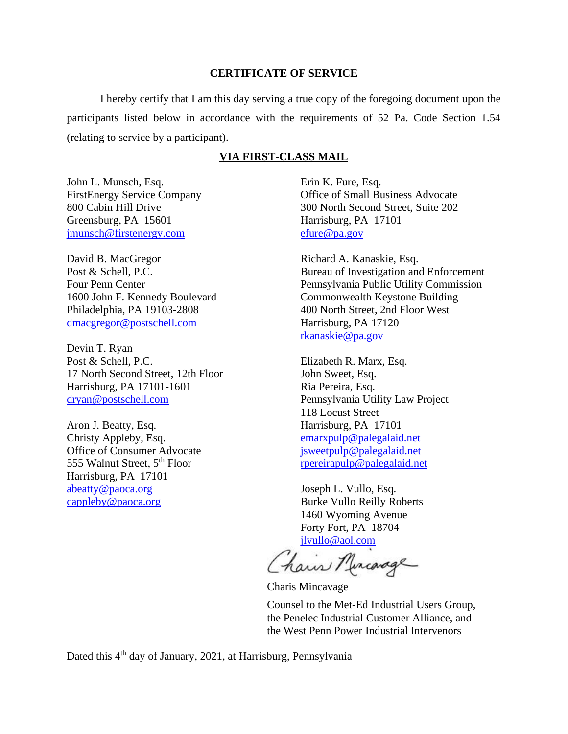#### **CERTIFICATE OF SERVICE**

I hereby certify that I am this day serving a true copy of the foregoing document upon the participants listed below in accordance with the requirements of 52 Pa. Code Section 1.54 (relating to service by a participant).

#### **VIA FIRST-CLASS MAIL**

John L. Munsch, Esq. FirstEnergy Service Company 800 Cabin Hill Drive Greensburg, PA 15601 jmunsch@firstenergy.com

David B. MacGregor Post & Schell, P.C. Four Penn Center 1600 John F. Kennedy Boulevard Philadelphia, PA 19103-2808 dmacgregor@postschell.com

Devin T. Ryan Post & Schell, P.C. 17 North Second Street, 12th Floor Harrisburg, PA 17101-1601 dryan@postschell.com

Aron J. Beatty, Esq. Christy Appleby, Esq. Office of Consumer Advocate 555 Walnut Street, 5<sup>th</sup> Floor Harrisburg, PA 17101 abeatty@paoca.org cappleby@paoca.org

Erin K. Fure, Esq. Office of Small Business Advocate 300 North Second Street, Suite 202 Harrisburg, PA 17101 efure@pa.gov

Richard A. Kanaskie, Esq. Bureau of Investigation and Enforcement Pennsylvania Public Utility Commission Commonwealth Keystone Building 400 North Street, 2nd Floor West Harrisburg, PA 17120 rkanaskie@pa.gov

Elizabeth R. Marx, Esq. John Sweet, Esq. Ria Pereira, Esq. Pennsylvania Utility Law Project 118 Locust Street Harrisburg, PA 17101 emarxpulp@palegalaid.net jsweetpulp@palegalaid.net rpereirapulp@palegalaid.net

Joseph L. Vullo, Esq. Burke Vullo Reilly Roberts 1460 Wyoming Avenue Forty Fort, PA 18704 jlvullo@aol.com

hair Murcange

Charis Mincavage

Counsel to the Met-Ed Industrial Users Group, the Penelec Industrial Customer Alliance, and the West Penn Power Industrial Intervenors

Dated this 4<sup>th</sup> day of January, 2021, at Harrisburg, Pennsylvania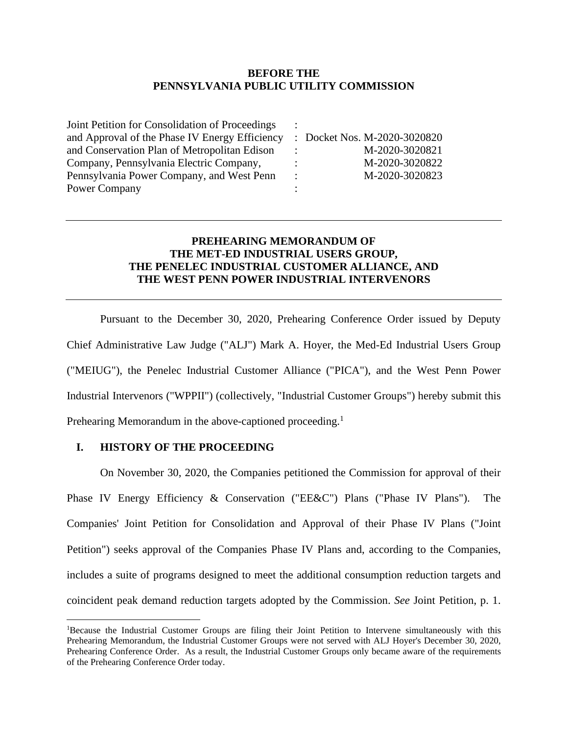### **BEFORE THE PENNSYLVANIA PUBLIC UTILITY COMMISSION**

:

: : : :

Joint Petition for Consolidation of Proceedings and Approval of the Phase IV Energy Efficiency and Conservation Plan of Metropolitan Edison Company, Pennsylvania Electric Company, Pennsylvania Power Company, and West Penn Power Company

: Docket Nos. M-2020-3020820 M-2020-3020821 M-2020-3020822 M-2020-3020823

# **PREHEARING MEMORANDUM OF THE MET-ED INDUSTRIAL USERS GROUP, THE PENELEC INDUSTRIAL CUSTOMER ALLIANCE, AND THE WEST PENN POWER INDUSTRIAL INTERVENORS**

Pursuant to the December 30, 2020, Prehearing Conference Order issued by Deputy Chief Administrative Law Judge ("ALJ") Mark A. Hoyer, the Med-Ed Industrial Users Group ("MEIUG"), the Penelec Industrial Customer Alliance ("PICA"), and the West Penn Power Industrial Intervenors ("WPPII") (collectively, "Industrial Customer Groups") hereby submit this Prehearing Memorandum in the above-captioned proceeding.<sup>1</sup>

## **I. HISTORY OF THE PROCEEDING**

On November 30, 2020, the Companies petitioned the Commission for approval of their Phase IV Energy Efficiency & Conservation ("EE&C") Plans ("Phase IV Plans"). The Companies' Joint Petition for Consolidation and Approval of their Phase IV Plans ("Joint Petition") seeks approval of the Companies Phase IV Plans and, according to the Companies, includes a suite of programs designed to meet the additional consumption reduction targets and coincident peak demand reduction targets adopted by the Commission. *See* Joint Petition, p. 1.

<sup>&</sup>lt;sup>1</sup>Because the Industrial Customer Groups are filing their Joint Petition to Intervene simultaneously with this Prehearing Memorandum, the Industrial Customer Groups were not served with ALJ Hoyer's December 30, 2020, Prehearing Conference Order. As a result, the Industrial Customer Groups only became aware of the requirements of the Prehearing Conference Order today.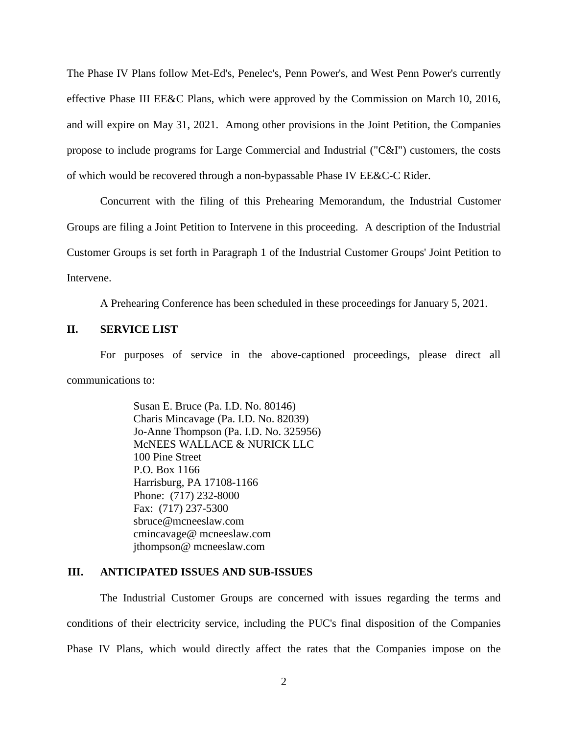The Phase IV Plans follow Met-Ed's, Penelec's, Penn Power's, and West Penn Power's currently effective Phase III EE&C Plans, which were approved by the Commission on March 10, 2016, and will expire on May 31, 2021. Among other provisions in the Joint Petition, the Companies propose to include programs for Large Commercial and Industrial ("C&I") customers, the costs of which would be recovered through a non-bypassable Phase IV EE&C-C Rider.

Concurrent with the filing of this Prehearing Memorandum, the Industrial Customer Groups are filing a Joint Petition to Intervene in this proceeding. A description of the Industrial Customer Groups is set forth in Paragraph 1 of the Industrial Customer Groups' Joint Petition to Intervene.

A Prehearing Conference has been scheduled in these proceedings for January 5, 2021.

## **II. SERVICE LIST**

For purposes of service in the above-captioned proceedings, please direct all communications to:

> Susan E. Bruce (Pa. I.D. No. 80146) Charis Mincavage (Pa. I.D. No. 82039) Jo-Anne Thompson (Pa. I.D. No. 325956) McNEES WALLACE & NURICK LLC 100 Pine Street P.O. Box 1166 Harrisburg, PA 17108-1166 Phone: (717) 232-8000 Fax: (717) 237-5300 sbruce@mcneeslaw.com cmincavage@ mcneeslaw.com jthompson@ mcneeslaw.com

### **III. ANTICIPATED ISSUES AND SUB-ISSUES**

The Industrial Customer Groups are concerned with issues regarding the terms and conditions of their electricity service, including the PUC's final disposition of the Companies Phase IV Plans, which would directly affect the rates that the Companies impose on the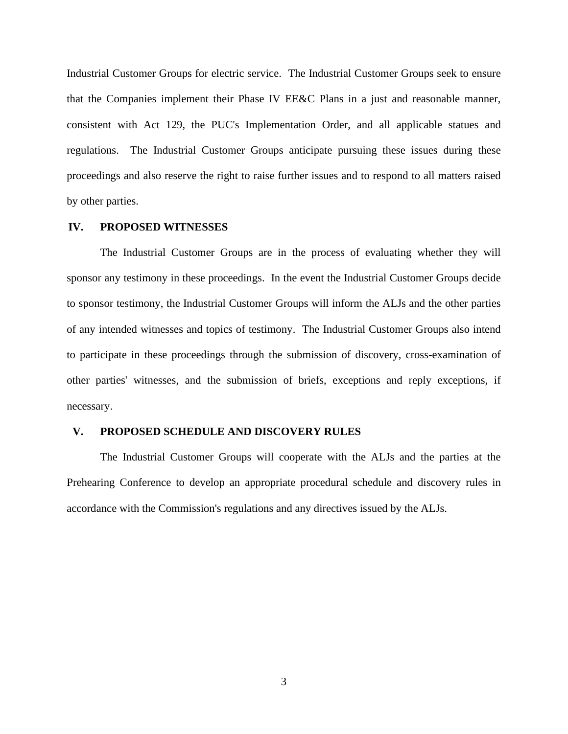Industrial Customer Groups for electric service. The Industrial Customer Groups seek to ensure that the Companies implement their Phase IV EE&C Plans in a just and reasonable manner, consistent with Act 129, the PUC's Implementation Order, and all applicable statues and regulations. The Industrial Customer Groups anticipate pursuing these issues during these proceedings and also reserve the right to raise further issues and to respond to all matters raised by other parties.

#### **IV. PROPOSED WITNESSES**

The Industrial Customer Groups are in the process of evaluating whether they will sponsor any testimony in these proceedings. In the event the Industrial Customer Groups decide to sponsor testimony, the Industrial Customer Groups will inform the ALJs and the other parties of any intended witnesses and topics of testimony. The Industrial Customer Groups also intend to participate in these proceedings through the submission of discovery, cross-examination of other parties' witnesses, and the submission of briefs, exceptions and reply exceptions, if necessary.

#### **V. PROPOSED SCHEDULE AND DISCOVERY RULES**

The Industrial Customer Groups will cooperate with the ALJs and the parties at the Prehearing Conference to develop an appropriate procedural schedule and discovery rules in accordance with the Commission's regulations and any directives issued by the ALJs.